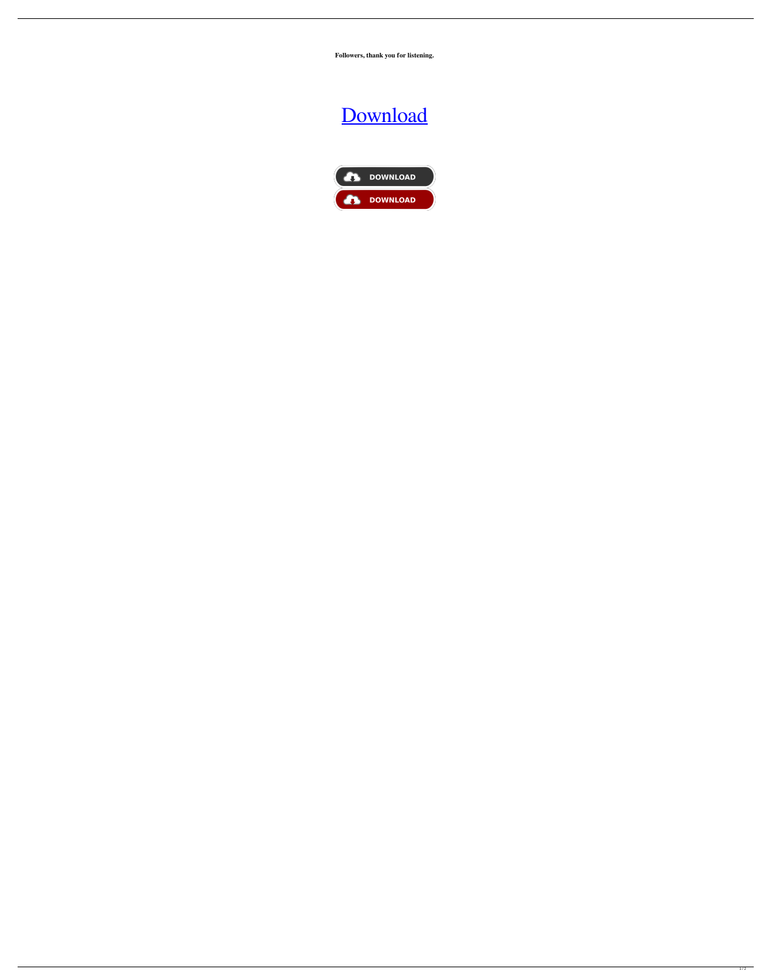**Followers, thank you for listening.**

## [Download](http://evacdir.com/beardsmore/ZG93bmxvYWR8ZVA1TVRod2NIeDhNVFkxTXpBNE5ERTFOSHg4TWpVM05IeDhLRTBwSUhKbFlXUXRZbXh2WnlCYlJtRnpkQ0JIUlU1ZA/portugeezer.categorize/hydride/entrecote?ZG93bmxvYWQgdCB0bWRldWMgMTAwNQZG9)